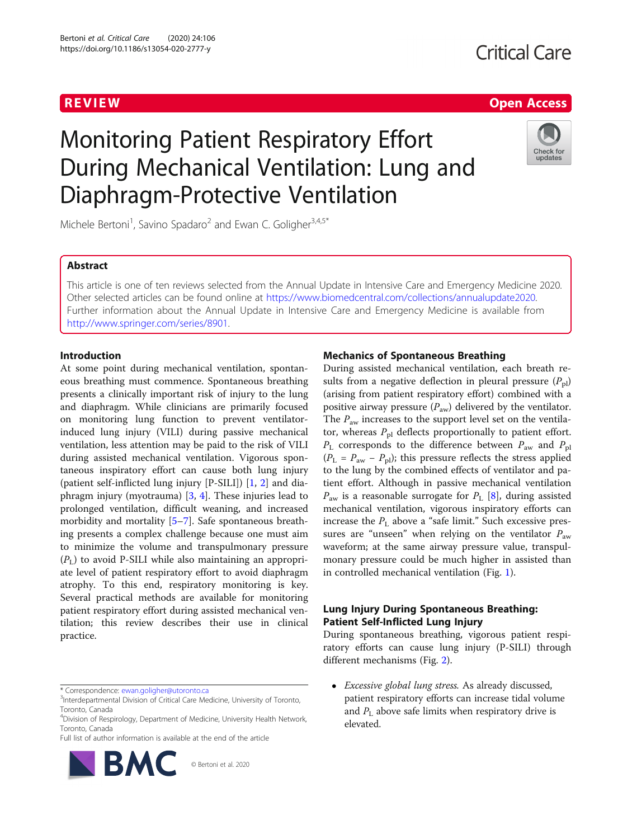# R EVI EW Open Access

# Monitoring Patient Respiratory Effort During Mechanical Ventilation: Lung and Diaphragm-Protective Ventilation



Michele Bertoni<sup>1</sup>, Savino Spadaro<sup>2</sup> and Ewan C. Goligher<sup>3,4,5\*</sup>

# Abstract

This article is one of ten reviews selected from the Annual Update in Intensive Care and Emergency Medicine 2020. Other selected articles can be found online at [https://www.biomedcentral.com/collections/annualupdate2020.](https://www.biomedcentral.com/collections/annualupdate2020) Further information about the Annual Update in Intensive Care and Emergency Medicine is available from [http://www.springer.com/series/8901.](http://www.springer.com/series/8901)

# Introduction

At some point during mechanical ventilation, spontaneous breathing must commence. Spontaneous breathing presents a clinically important risk of injury to the lung and diaphragm. While clinicians are primarily focused on monitoring lung function to prevent ventilatorinduced lung injury (VILI) during passive mechanical ventilation, less attention may be paid to the risk of VILI during assisted mechanical ventilation. Vigorous spontaneous inspiratory effort can cause both lung injury (patient self-inflicted lung injury [P-SILI]) [\[1,](#page-6-0) [2](#page-6-0)] and diaphragm injury (myotrauma) [[3,](#page-6-0) [4](#page-6-0)]. These injuries lead to prolonged ventilation, difficult weaning, and increased morbidity and mortality [\[5](#page-6-0)–[7\]](#page-6-0). Safe spontaneous breathing presents a complex challenge because one must aim to minimize the volume and transpulmonary pressure  $(P_L)$  to avoid P-SILI while also maintaining an appropriate level of patient respiratory effort to avoid diaphragm atrophy. To this end, respiratory monitoring is key. Several practical methods are available for monitoring patient respiratory effort during assisted mechanical ventilation; this review describes their use in clinical practice.

Full list of author information is available at the end of the article



© Bertoni et al. 2020

# Mechanics of Spontaneous Breathing

During assisted mechanical ventilation, each breath results from a negative deflection in pleural pressure  $(P_{\text{pl}})$ (arising from patient respiratory effort) combined with a positive airway pressure  $(P_{aw})$  delivered by the ventilator. The  $P_{\text{aw}}$  increases to the support level set on the ventilator, whereas  $P_{\text{pl}}$  deflects proportionally to patient effort.  $P_{\text{L}}$  corresponds to the difference between  $P_{\text{aw}}$  and  $P_{\text{pl}}$  $(P_L = P_{aw} - P_{pl})$ ; this pressure reflects the stress applied to the lung by the combined effects of ventilator and patient effort. Although in passive mechanical ventilation  $P_{\text{aw}}$  is a reasonable surrogate for  $P_{\text{L}}$  [[8](#page-6-0)], during assisted mechanical ventilation, vigorous inspiratory efforts can increase the  $P_L$  above a "safe limit." Such excessive pressures are "unseen" when relying on the ventilator  $P_{\text{aw}}$ waveform; at the same airway pressure value, transpulmonary pressure could be much higher in assisted than in controlled mechanical ventilation (Fig. [1\)](#page-1-0).

# Lung Injury During Spontaneous Breathing: Patient Self-Inflicted Lung Injury

During spontaneous breathing, vigorous patient respiratory efforts can cause lung injury (P-SILI) through different mechanisms (Fig. [2](#page-2-0)).

• Excessive global lung stress. As already discussed, patient respiratory efforts can increase tidal volume and  $P_{\text{L}}$  above safe limits when respiratory drive is elevated.

<sup>\*</sup> Correspondence: [ewan.goligher@utoronto.ca](mailto:ewan.goligher@utoronto.ca) <sup>3</sup>

<sup>&</sup>lt;sup>3</sup>Interdepartmental Division of Critical Care Medicine, University of Toronto, Toronto, Canada

<sup>4</sup> Division of Respirology, Department of Medicine, University Health Network, Toronto, Canada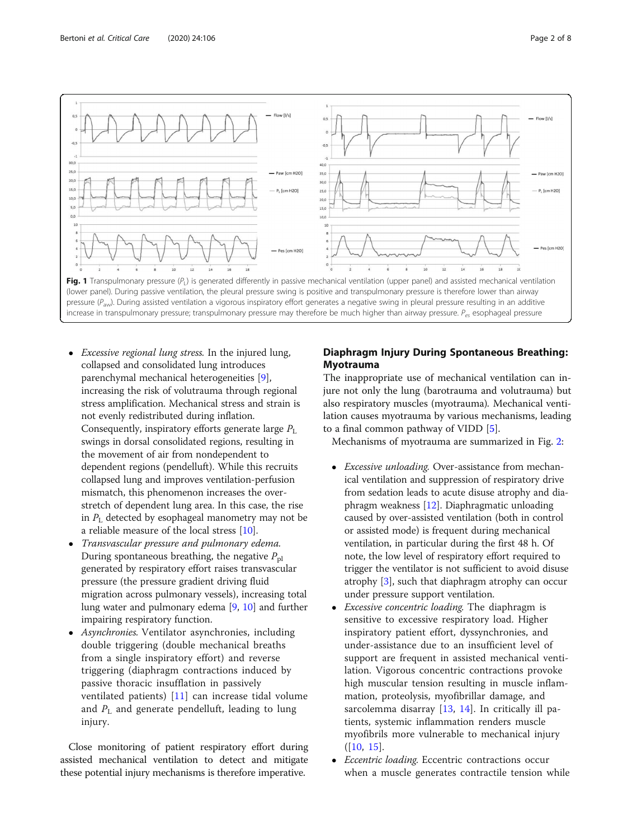<span id="page-1-0"></span>

- Excessive regional lung stress. In the injured lung, collapsed and consolidated lung introduces parenchymal mechanical heterogeneities [[9\]](#page-7-0), increasing the risk of volutrauma through regional stress amplification. Mechanical stress and strain is not evenly redistributed during inflation. Consequently, inspiratory efforts generate large  $P_{\text{L}}$ swings in dorsal consolidated regions, resulting in the movement of air from nondependent to dependent regions (pendelluft). While this recruits collapsed lung and improves ventilation-perfusion mismatch, this phenomenon increases the overstretch of dependent lung area. In this case, the rise in  $P_{\text{L}}$  detected by esophageal manometry may not be a reliable measure of the local stress [[10](#page-7-0)].
- Transvascular pressure and pulmonary edema. During spontaneous breathing, the negative  $P_{\text{pl}}$ generated by respiratory effort raises transvascular pressure (the pressure gradient driving fluid migration across pulmonary vessels), increasing total lung water and pulmonary edema [[9,](#page-7-0) [10](#page-7-0)] and further impairing respiratory function.
- Asynchronies. Ventilator asynchronies, including double triggering (double mechanical breaths from a single inspiratory effort) and reverse triggering (diaphragm contractions induced by passive thoracic insufflation in passively ventilated patients) [\[11](#page-7-0)] can increase tidal volume and  $P_{\rm L}$  and generate pendelluft, leading to lung injury.

Close monitoring of patient respiratory effort during assisted mechanical ventilation to detect and mitigate these potential injury mechanisms is therefore imperative.

# Diaphragm Injury During Spontaneous Breathing: Myotrauma

The inappropriate use of mechanical ventilation can injure not only the lung (barotrauma and volutrauma) but also respiratory muscles (myotrauma). Mechanical ventilation causes myotrauma by various mechanisms, leading to a final common pathway of VIDD [\[5](#page-6-0)].

Mechanisms of myotrauma are summarized in Fig. [2](#page-2-0):

- *Excessive unloading*. Over-assistance from mechanical ventilation and suppression of respiratory drive from sedation leads to acute disuse atrophy and diaphragm weakness [[12\]](#page-7-0). Diaphragmatic unloading caused by over-assisted ventilation (both in control or assisted mode) is frequent during mechanical ventilation, in particular during the first 48 h. Of note, the low level of respiratory effort required to trigger the ventilator is not sufficient to avoid disuse atrophy [[3\]](#page-6-0), such that diaphragm atrophy can occur under pressure support ventilation.
- Excessive concentric loading. The diaphragm is sensitive to excessive respiratory load. Higher inspiratory patient effort, dyssynchronies, and under-assistance due to an insufficient level of support are frequent in assisted mechanical ventilation. Vigorous concentric contractions provoke high muscular tension resulting in muscle inflammation, proteolysis, myofibrillar damage, and sarcolemma disarray [\[13](#page-7-0), [14](#page-7-0)]. In critically ill patients, systemic inflammation renders muscle myofibrils more vulnerable to mechanical injury  $([10, 15].$  $([10, 15].$  $([10, 15].$  $([10, 15].$  $([10, 15].$
- Eccentric loading. Eccentric contractions occur when a muscle generates contractile tension while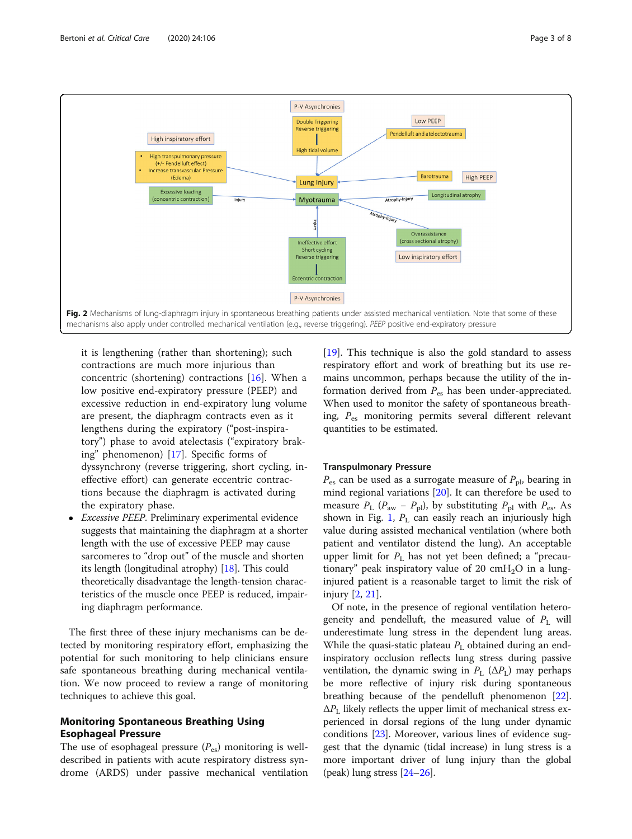<span id="page-2-0"></span>

it is lengthening (rather than shortening); such contractions are much more injurious than concentric (shortening) contractions [\[16](#page-7-0)]. When a low positive end-expiratory pressure (PEEP) and excessive reduction in end-expiratory lung volume are present, the diaphragm contracts even as it lengthens during the expiratory ("post-inspiratory") phase to avoid atelectasis ("expiratory braking" phenomenon) [\[17\]](#page-7-0). Specific forms of dyssynchrony (reverse triggering, short cycling, ineffective effort) can generate eccentric contractions because the diaphragm is activated during the expiratory phase.

 Excessive PEEP. Preliminary experimental evidence suggests that maintaining the diaphragm at a shorter length with the use of excessive PEEP may cause sarcomeres to "drop out" of the muscle and shorten its length (longitudinal atrophy) [\[18\]](#page-7-0). This could theoretically disadvantage the length-tension characteristics of the muscle once PEEP is reduced, impairing diaphragm performance.

The first three of these injury mechanisms can be detected by monitoring respiratory effort, emphasizing the potential for such monitoring to help clinicians ensure safe spontaneous breathing during mechanical ventilation. We now proceed to review a range of monitoring techniques to achieve this goal.

# Monitoring Spontaneous Breathing Using Esophageal Pressure

The use of esophageal pressure  $(P_{es})$  monitoring is welldescribed in patients with acute respiratory distress syndrome (ARDS) under passive mechanical ventilation

[[19\]](#page-7-0). This technique is also the gold standard to assess respiratory effort and work of breathing but its use remains uncommon, perhaps because the utility of the information derived from  $P_{\text{es}}$  has been under-appreciated. When used to monitor the safety of spontaneous breathing,  $P_{\text{es}}$  monitoring permits several different relevant quantities to be estimated.

### Transpulmonary Pressure

 $P_{\text{es}}$  can be used as a surrogate measure of  $P_{\text{pl}}$ , bearing in mind regional variations [[20\]](#page-7-0). It can therefore be used to measure  $P_{\rm L}$  ( $P_{\rm aw}$  –  $P_{\rm pl}$ ), by substituting  $P_{\rm pl}$  with  $P_{\rm es}$ . As shown in Fig. [1](#page-1-0),  $P_L$  can easily reach an injuriously high value during assisted mechanical ventilation (where both patient and ventilator distend the lung). An acceptable upper limit for  $P_{\text{L}}$  has not yet been defined; a "precautionary" peak inspiratory value of 20 cmH<sub>2</sub>O in a lunginjured patient is a reasonable target to limit the risk of injury [[2,](#page-6-0) [21\]](#page-7-0).

Of note, in the presence of regional ventilation heterogeneity and pendelluft, the measured value of  $P_{\text{L}}$  will underestimate lung stress in the dependent lung areas. While the quasi-static plateau  $P_L$  obtained during an endinspiratory occlusion reflects lung stress during passive ventilation, the dynamic swing in  $P_L$  ( $\Delta P_L$ ) may perhaps be more reflective of injury risk during spontaneous breathing because of the pendelluft phenomenon [[22](#page-7-0)].  $\Delta P_{\rm L}$  likely reflects the upper limit of mechanical stress experienced in dorsal regions of the lung under dynamic conditions [\[23](#page-7-0)]. Moreover, various lines of evidence suggest that the dynamic (tidal increase) in lung stress is a more important driver of lung injury than the global (peak) lung stress [\[24](#page-7-0)–[26](#page-7-0)].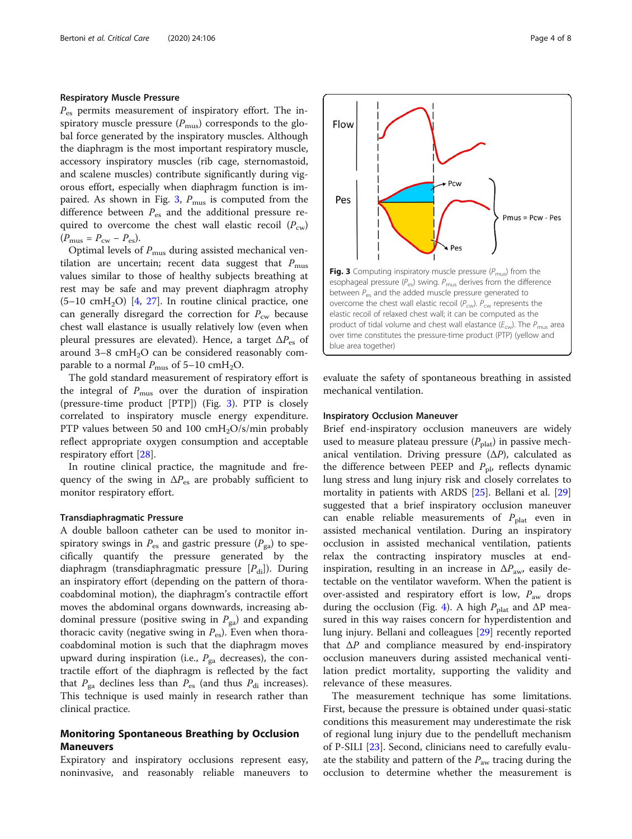## Respiratory Muscle Pressure

 $P_{\text{es}}$  permits measurement of inspiratory effort. The inspiratory muscle pressure  $(P_{\text{mus}})$  corresponds to the global force generated by the inspiratory muscles. Although the diaphragm is the most important respiratory muscle, accessory inspiratory muscles (rib cage, sternomastoid, and scalene muscles) contribute significantly during vigorous effort, especially when diaphragm function is impaired. As shown in Fig. 3,  $P_{\text{mus}}$  is computed from the difference between  $P_{\text{es}}$  and the additional pressure required to overcome the chest wall elastic recoil  $(P_{cw})$  $(P_{\text{mus}} = P_{\text{cw}} - P_{\text{es}}).$ 

Optimal levels of  $P_{\text{mus}}$  during assisted mechanical ventilation are uncertain; recent data suggest that  $P_{\text{mus}}$ values similar to those of healthy subjects breathing at rest may be safe and may prevent diaphragm atrophy  $(5-10 \text{ cm}H<sub>2</sub>O)$  [[4,](#page-6-0) [27\]](#page-7-0). In routine clinical practice, one can generally disregard the correction for  $P_{\text{cw}}$  because chest wall elastance is usually relatively low (even when pleural pressures are elevated). Hence, a target  $\Delta P_{\text{es}}$  of around  $3-8$  cmH<sub>2</sub>O can be considered reasonably comparable to a normal  $P_{\text{mus}}$  of 5–10 cmH<sub>2</sub>O.

The gold standard measurement of respiratory effort is the integral of  $P_{\text{mus}}$  over the duration of inspiration (pressure-time product [PTP]) (Fig. 3). PTP is closely correlated to inspiratory muscle energy expenditure. PTP values between 50 and 100  $\text{cm}H_2\text{O/s/min}$  probably reflect appropriate oxygen consumption and acceptable respiratory effort [[28\]](#page-7-0).

In routine clinical practice, the magnitude and frequency of the swing in  $\Delta P_{\text{es}}$  are probably sufficient to monitor respiratory effort.

#### Transdiaphragmatic Pressure

A double balloon catheter can be used to monitor inspiratory swings in  $P_{\text{es}}$  and gastric pressure ( $P_{\text{ga}}$ ) to specifically quantify the pressure generated by the diaphragm (transdiaphragmatic pressure  $[P_{di}]$ ). During an inspiratory effort (depending on the pattern of thoracoabdominal motion), the diaphragm's contractile effort moves the abdominal organs downwards, increasing abdominal pressure (positive swing in  $P_{\text{ga}}$ ) and expanding thoracic cavity (negative swing in  $P_{es}$ ). Even when thoracoabdominal motion is such that the diaphragm moves upward during inspiration (i.e.,  $P_{\text{ga}}$  decreases), the contractile effort of the diaphragm is reflected by the fact that  $P_{\text{ga}}$  declines less than  $P_{\text{es}}$  (and thus  $P_{\text{di}}$  increases). This technique is used mainly in research rather than clinical practice.

# Monitoring Spontaneous Breathing by Occlusion Maneuvers

Expiratory and inspiratory occlusions represent easy, noninvasive, and reasonably reliable maneuvers to

evaluate the safety of spontaneous breathing in assisted mechanical ventilation.

### Inspiratory Occlusion Maneuver

Brief end-inspiratory occlusion maneuvers are widely used to measure plateau pressure  $(P_{\text{plat}})$  in passive mechanical ventilation. Driving pressure  $(\Delta P)$ , calculated as the difference between PEEP and  $P_{\text{pl}}$ , reflects dynamic lung stress and lung injury risk and closely correlates to mortality in patients with ARDS [\[25](#page-7-0)]. Bellani et al. [[29](#page-7-0)] suggested that a brief inspiratory occlusion maneuver can enable reliable measurements of  $P_{\text{plat}}$  even in assisted mechanical ventilation. During an inspiratory occlusion in assisted mechanical ventilation, patients relax the contracting inspiratory muscles at endinspiration, resulting in an increase in  $\Delta P_{\text{aw}}$  easily detectable on the ventilator waveform. When the patient is over-assisted and respiratory effort is low,  $P_{\text{aw}}$  drops during the occlusion (Fig. [4\)](#page-4-0). A high  $P_{\text{plat}}$  and  $\Delta P$  measured in this way raises concern for hyperdistention and lung injury. Bellani and colleagues [[29\]](#page-7-0) recently reported that  $\Delta P$  and compliance measured by end-inspiratory occlusion maneuvers during assisted mechanical ventilation predict mortality, supporting the validity and relevance of these measures.

The measurement technique has some limitations. First, because the pressure is obtained under quasi-static conditions this measurement may underestimate the risk of regional lung injury due to the pendelluft mechanism of P-SILI [\[23](#page-7-0)]. Second, clinicians need to carefully evaluate the stability and pattern of the  $P_{\text{aw}}$  tracing during the occlusion to determine whether the measurement is

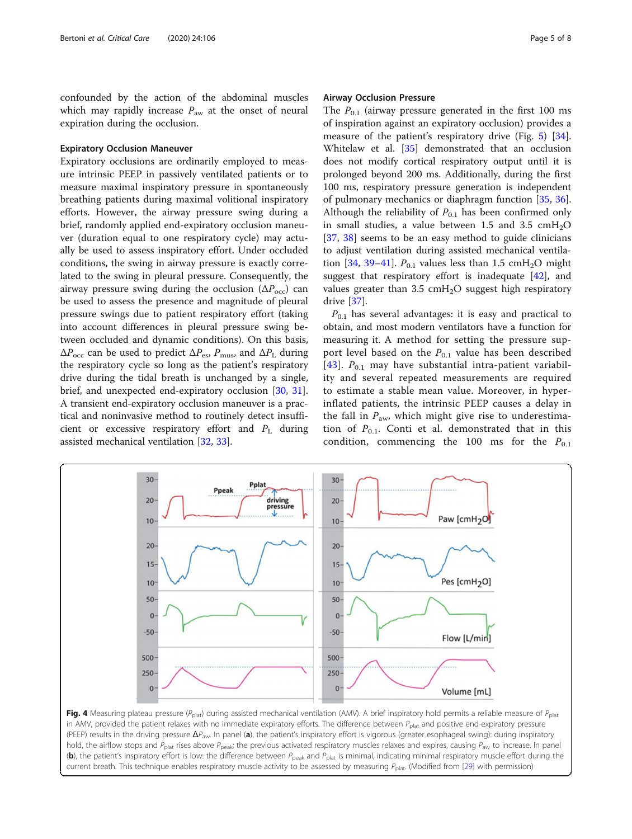<span id="page-4-0"></span>confounded by the action of the abdominal muscles which may rapidly increase  $P_{aw}$  at the onset of neural expiration during the occlusion.

## Expiratory Occlusion Maneuver

Expiratory occlusions are ordinarily employed to measure intrinsic PEEP in passively ventilated patients or to measure maximal inspiratory pressure in spontaneously breathing patients during maximal volitional inspiratory efforts. However, the airway pressure swing during a brief, randomly applied end-expiratory occlusion maneuver (duration equal to one respiratory cycle) may actually be used to assess inspiratory effort. Under occluded conditions, the swing in airway pressure is exactly correlated to the swing in pleural pressure. Consequently, the airway pressure swing during the occlusion  $(\Delta P_{\rm occ})$  can be used to assess the presence and magnitude of pleural pressure swings due to patient respiratory effort (taking into account differences in pleural pressure swing between occluded and dynamic conditions). On this basis,  $\Delta P_{\rm occ}$  can be used to predict  $\Delta P_{\rm es}$ ,  $P_{\rm mus}$ , and  $\Delta P_{\rm L}$  during the respiratory cycle so long as the patient's respiratory drive during the tidal breath is unchanged by a single, brief, and unexpected end-expiratory occlusion [[30,](#page-7-0) [31](#page-7-0)]. A transient end-expiratory occlusion maneuver is a practical and noninvasive method to routinely detect insufficient or excessive respiratory effort and  $P<sub>L</sub>$  during assisted mechanical ventilation [\[32,](#page-7-0) [33\]](#page-7-0).

### Airway Occlusion Pressure

The  $P_{0,1}$  (airway pressure generated in the first 100 ms of inspiration against an expiratory occlusion) provides a measure of the patient's respiratory drive (Fig. [5\)](#page-5-0) [\[34](#page-7-0)]. Whitelaw et al. [\[35](#page-7-0)] demonstrated that an occlusion does not modify cortical respiratory output until it is prolonged beyond 200 ms. Additionally, during the first 100 ms, respiratory pressure generation is independent of pulmonary mechanics or diaphragm function [\[35](#page-7-0), [36](#page-7-0)]. Although the reliability of  $P_{0.1}$  has been confirmed only in small studies, a value between 1.5 and 3.5  $\text{cm}H_{2}O$ [[37,](#page-7-0) [38](#page-7-0)] seems to be an easy method to guide clinicians to adjust ventilation during assisted mechanical ventila-tion [[34](#page-7-0), [39](#page-7-0)–[41\]](#page-7-0).  $P_{0,1}$  values less than 1.5 cmH<sub>2</sub>O might suggest that respiratory effort is inadequate [\[42\]](#page-7-0), and values greater than  $3.5 \text{ cm}H_2O$  suggest high respiratory drive [\[37](#page-7-0)].

 $P_{0,1}$  has several advantages: it is easy and practical to obtain, and most modern ventilators have a function for measuring it. A method for setting the pressure support level based on the  $P_{0.1}$  value has been described [[43](#page-7-0)].  $P_{0,1}$  may have substantial intra-patient variability and several repeated measurements are required to estimate a stable mean value. Moreover, in hyperinflated patients, the intrinsic PEEP causes a delay in the fall in  $P_{\text{aw}}$ , which might give rise to underestimation of  $P_{0,1}$ . Conti et al. demonstrated that in this condition, commencing the 100 ms for the  $P_{0.1}$ 



Fig. 4 Measuring plateau pressure ( $P_{\text{plat}}$ ) during assisted mechanical ventilation (AMV). A brief inspiratory hold permits a reliable measure of  $P_{\text{plat}}$ in AMV, provided the patient relaxes with no immediate expiratory efforts. The difference between  $P_{\text{plat}}$  and positive end-expiratory pressure (PEEP) results in the driving pressure  $\Delta P_{\text{aw}}$ . In panel (a), the patient's inspiratory effort is vigorous (greater esophageal swing): during inspiratory hold, the airflow stops and  $P_{\text{plat}}$  rises above  $P_{\text{peak}}$ ; the previous activated respiratory muscles relaxes and expires, causing  $P_{\text{aw}}$  to increase. In panel (b), the patient's inspiratory effort is low: the difference between  $P_{\text{peak}}$  and  $P_{\text{plat}}$  is minimal, indicating minimal respiratory muscle effort during the current breath. This technique enables respiratory muscle activity to be assessed by measuring  $P_{\text{plat}}$ . (Modified from [[29](#page-7-0)] with permission)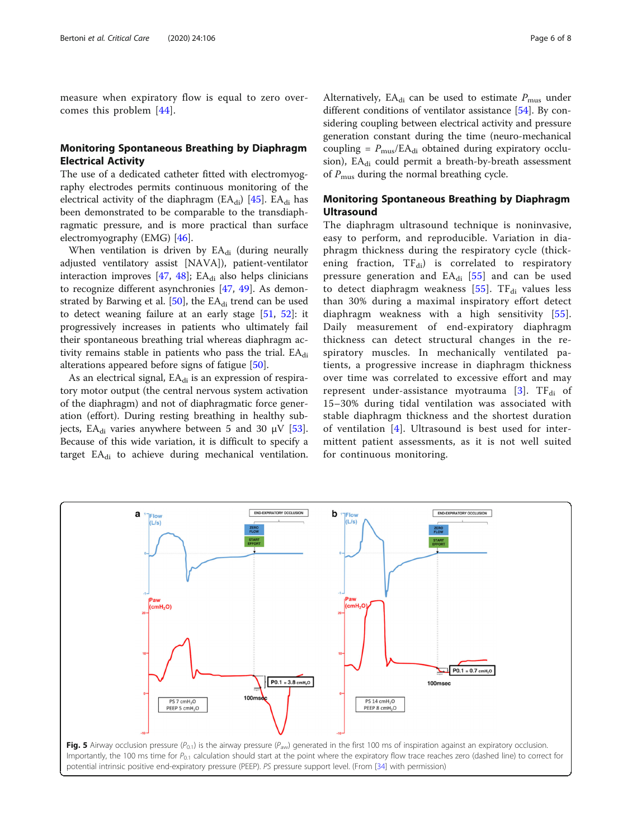<span id="page-5-0"></span>measure when expiratory flow is equal to zero overcomes this problem [[44\]](#page-7-0).

# Monitoring Spontaneous Breathing by Diaphragm Electrical Activity

The use of a dedicated catheter fitted with electromyography electrodes permits continuous monitoring of the electrical activity of the diaphragm ( $EA_{di}$ ) [\[45](#page-7-0)].  $EA_{di}$  has been demonstrated to be comparable to the transdiaphragmatic pressure, and is more practical than surface electromyography (EMG) [\[46\]](#page-7-0).

When ventilation is driven by  $EA_{di}$  (during neurally adjusted ventilatory assist [NAVA]), patient-ventilator interaction improves  $[47, 48]$  $[47, 48]$  $[47, 48]$  $[47, 48]$ ; EA<sub>di</sub> also helps clinicians to recognize different asynchronies [\[47](#page-7-0), [49](#page-7-0)]. As demonstrated by Barwing et al.  $[50]$ , the EA $_{di}$  trend can be used to detect weaning failure at an early stage [\[51,](#page-7-0) [52\]](#page-7-0): it progressively increases in patients who ultimately fail their spontaneous breathing trial whereas diaphragm activity remains stable in patients who pass the trial.  $EA_{di}$ alterations appeared before signs of fatigue [\[50](#page-7-0)].

As an electrical signal,  $EA_{di}$  is an expression of respiratory motor output (the central nervous system activation of the diaphragm) and not of diaphragmatic force generation (effort). During resting breathing in healthy sub-jects, EA<sub>di</sub> varies anywhere between 5 and 30 μV [\[53](#page-7-0)]. Because of this wide variation, it is difficult to specify a target  $EA_{di}$  to achieve during mechanical ventilation.

Alternatively, EA<sub>di</sub> can be used to estimate  $P_{\text{mus}}$  under different conditions of ventilator assistance [\[54](#page-7-0)]. By considering coupling between electrical activity and pressure generation constant during the time (neuro-mechanical coupling =  $P_{\text{mus}}/EA_{di}$  obtained during expiratory occlusion), EA<sub>di</sub> could permit a breath-by-breath assessment of  $P_{\text{mus}}$  during the normal breathing cycle.

# Monitoring Spontaneous Breathing by Diaphragm **Ultrasound**

The diaphragm ultrasound technique is noninvasive, easy to perform, and reproducible. Variation in diaphragm thickness during the respiratory cycle (thickening fraction,  $TF_{di}$ ) is correlated to respiratory pressure generation and  $EA_{di}$  [[55\]](#page-7-0) and can be used to detect diaphragm weakness  $[55]$  $[55]$  $[55]$ . TF<sub>di</sub> values less than 30% during a maximal inspiratory effort detect diaphragm weakness with a high sensitivity [[55](#page-7-0)]. Daily measurement of end-expiratory diaphragm thickness can detect structural changes in the respiratory muscles. In mechanically ventilated patients, a progressive increase in diaphragm thickness over time was correlated to excessive effort and may represent under-assistance myotrauma [[3\]](#page-6-0).  $TF_{di}$  of 15–30% during tidal ventilation was associated with stable diaphragm thickness and the shortest duration of ventilation [[4\]](#page-6-0). Ultrasound is best used for intermittent patient assessments, as it is not well suited for continuous monitoring.

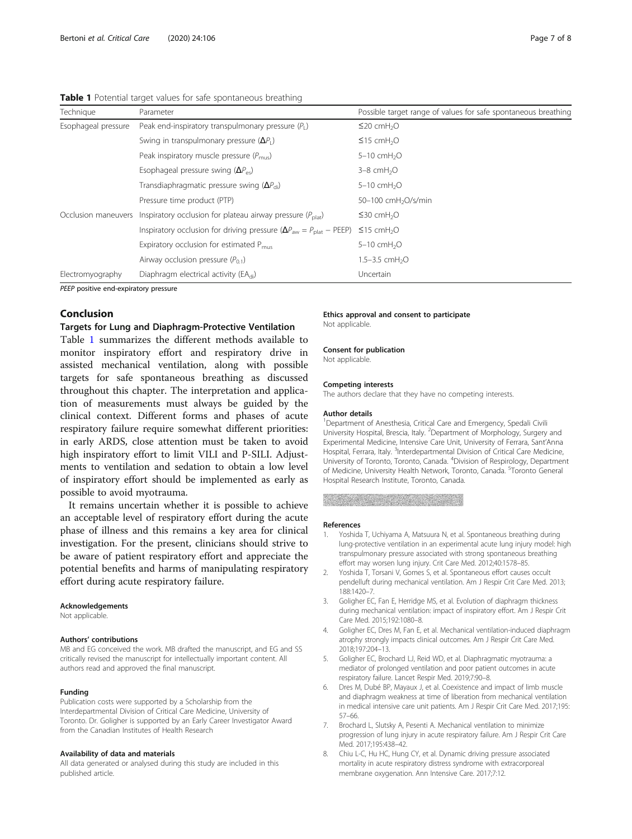| Technique           | Parameter                                                                                      | Possible target range of values for safe spontaneous breathing |
|---------------------|------------------------------------------------------------------------------------------------|----------------------------------------------------------------|
| Esophageal pressure | Peak end-inspiratory transpulmonary pressure $(P_1)$                                           | $\leq$ 20 cmH <sub>2</sub> O                                   |
|                     | Swing in transpulmonary pressure $(\Delta P_1)$                                                | $\leq$ 15 cmH <sub>2</sub> O                                   |
|                     | Peak inspiratory muscle pressure $(P_{\text{mus}})$                                            | $5-10$ cmH <sub>2</sub> O                                      |
|                     | Esophageal pressure swing $(\Delta P_{\rm ex})$                                                | $3-8$ cmH <sub>2</sub> O                                       |
|                     | Transdiaphragmatic pressure swing $(\Delta P_{\text{di}})$                                     | $5-10$ cmH <sub>2</sub> O                                      |
|                     | Pressure time product (PTP)                                                                    | 50-100 cmH <sub>2</sub> O/s/min                                |
| Occlusion maneuvers | Inspiratory occlusion for plateau airway pressure $(P_{\text{plat}})$                          | $\leq$ 30 cmH <sub>2</sub> O                                   |
|                     | Inspiratory occlusion for driving pressure ( $\Delta P_{\text{aw}} = P_{\text{plat}} - PEEP$ ) | $\leq$ 15 cmH <sub>2</sub> O                                   |
|                     | Expiratory occlusion for estimated $P_{\text{mus}}$                                            | $5-10$ cmH <sub>2</sub> O                                      |
|                     | Airway occlusion pressure $(P_{0,1})$                                                          | 1.5-3.5 $cmH2O$                                                |
| Electromyography    | Diaphragm electrical activity (EA <sub>di</sub> )                                              | Uncertain                                                      |

### <span id="page-6-0"></span>Table 1 Potential target values for safe spontaneous breathing

PEEP positive end-expiratory pressure

# Conclusion

# Targets for Lung and Diaphragm-Protective Ventilation

Table 1 summarizes the different methods available to monitor inspiratory effort and respiratory drive in assisted mechanical ventilation, along with possible targets for safe spontaneous breathing as discussed throughout this chapter. The interpretation and application of measurements must always be guided by the clinical context. Different forms and phases of acute respiratory failure require somewhat different priorities: in early ARDS, close attention must be taken to avoid high inspiratory effort to limit VILI and P-SILI. Adjustments to ventilation and sedation to obtain a low level of inspiratory effort should be implemented as early as possible to avoid myotrauma.

It remains uncertain whether it is possible to achieve an acceptable level of respiratory effort during the acute phase of illness and this remains a key area for clinical investigation. For the present, clinicians should strive to be aware of patient respiratory effort and appreciate the potential benefits and harms of manipulating respiratory effort during acute respiratory failure.

#### Acknowledgements

Not applicable.

#### Authors' contributions

MB and EG conceived the work. MB drafted the manuscript, and EG and SS critically revised the manuscript for intellectually important content. All authors read and approved the final manuscript.

#### Funding

Publication costs were supported by a Scholarship from the Interdepartmental Division of Critical Care Medicine, University of Toronto. Dr. Goligher is supported by an Early Career Investigator Award from the Canadian Institutes of Health Research

#### Availability of data and materials

All data generated or analysed during this study are included in this published article.

#### Ethics approval and consent to participate Not applicable.

Consent for publication

Not applicable.

#### Competing interests

The authors declare that they have no competing interests.

#### Author details

<sup>1</sup>Department of Anesthesia, Critical Care and Emergency, Spedali Civili University Hospital, Brescia, Italy. <sup>2</sup>Department of Morphology, Surgery and Experimental Medicine, Intensive Care Unit, University of Ferrara, Sant'Anna Hospital, Ferrara, Italy. <sup>3</sup>Interdepartmental Division of Critical Care Medicine University of Toronto, Toronto, Canada. <sup>4</sup>Division of Respirology, Department of Medicine, University Health Network, Toronto, Canada. <sup>5</sup>Toronto General Hospital Research Institute, Toronto, Canada.

#### References

- 1. Yoshida T, Uchiyama A, Matsuura N, et al. Spontaneous breathing during lung-protective ventilation in an experimental acute lung injury model: high transpulmonary pressure associated with strong spontaneous breathing effort may worsen lung injury. Crit Care Med. 2012;40:1578–85.
- 2. Yoshida T, Torsani V, Gomes S, et al. Spontaneous effort causes occult pendelluft during mechanical ventilation. Am J Respir Crit Care Med. 2013; 188:1420–7.
- 3. Goligher EC, Fan E, Herridge MS, et al. Evolution of diaphragm thickness during mechanical ventilation: impact of inspiratory effort. Am J Respir Crit Care Med. 2015;192:1080–8.
- 4. Goligher EC, Dres M, Fan E, et al. Mechanical ventilation-induced diaphragm atrophy strongly impacts clinical outcomes. Am J Respir Crit Care Med. 2018;197:204–13.
- 5. Goligher EC, Brochard LJ, Reid WD, et al. Diaphragmatic myotrauma: a mediator of prolonged ventilation and poor patient outcomes in acute respiratory failure. Lancet Respir Med. 2019;7:90–8.
- 6. Dres M, Dubé BP, Mayaux J, et al. Coexistence and impact of limb muscle and diaphragm weakness at time of liberation from mechanical ventilation in medical intensive care unit patients. Am J Respir Crit Care Med. 2017;195: 57–66.
- 7. Brochard L, Slutsky A, Pesenti A. Mechanical ventilation to minimize progression of lung injury in acute respiratory failure. Am J Respir Crit Care Med. 2017;195:438–42.
- 8. Chiu L-C, Hu HC, Hung CY, et al. Dynamic driving pressure associated mortality in acute respiratory distress syndrome with extracorporeal membrane oxygenation. Ann Intensive Care. 2017;7:12.